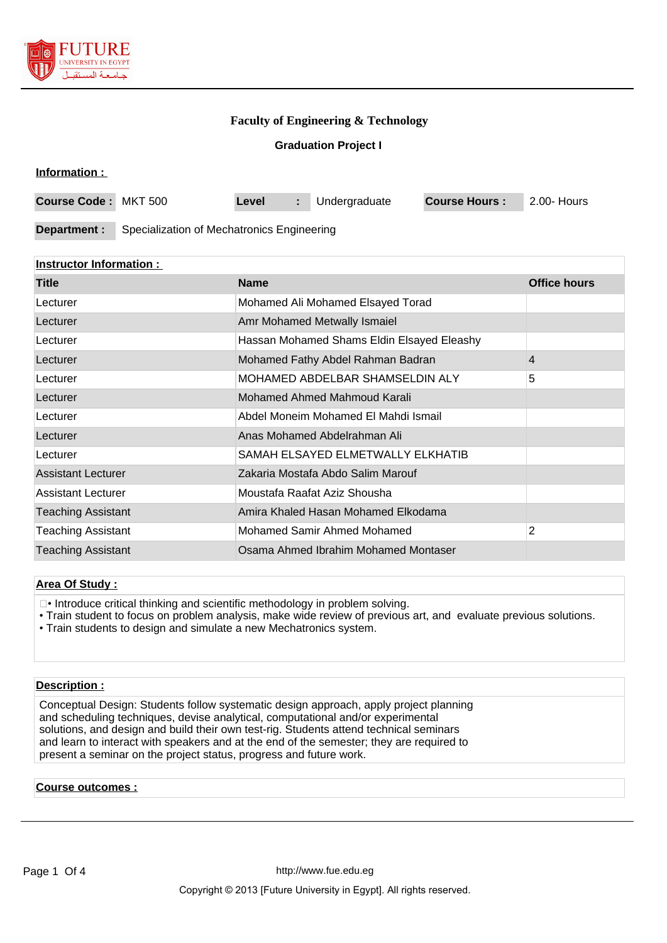

# **Faculty of Engineering & Technology**

# **Graduation Project I**

|  | <b>Information:</b> |  |
|--|---------------------|--|
|  |                     |  |
|  |                     |  |

| <b>Course Code: MKT 500</b> |                                            | Level | Undergraduate | <b>Course Hours:</b> | 2.00- Hours |
|-----------------------------|--------------------------------------------|-------|---------------|----------------------|-------------|
|                             |                                            |       |               |                      |             |
| Department :                | Specialization of Mechatronics Engineering |       |               |                      |             |

# **Instructor Information :**

| <b>Title</b>              | <b>Name</b>                                | <b>Office hours</b> |
|---------------------------|--------------------------------------------|---------------------|
| Lecturer                  | Mohamed Ali Mohamed Elsayed Torad          |                     |
| Lecturer                  | Amr Mohamed Metwally Ismaiel               |                     |
| Lecturer                  | Hassan Mohamed Shams Eldin Elsayed Eleashy |                     |
| Lecturer                  | Mohamed Fathy Abdel Rahman Badran          | 4                   |
| Lecturer                  | MOHAMED ABDELBAR SHAMSELDIN ALY            | 5                   |
| Lecturer                  | Mohamed Ahmed Mahmoud Karali               |                     |
| Lecturer                  | Abdel Moneim Mohamed El Mahdi Ismail       |                     |
| Lecturer                  | Anas Mohamed Abdelrahman Ali               |                     |
| Lecturer                  | SAMAH ELSAYED ELMETWALLY ELKHATIB          |                     |
| <b>Assistant Lecturer</b> | Zakaria Mostafa Abdo Salim Marouf          |                     |
| Assistant Lecturer        | Moustafa Raafat Aziz Shousha               |                     |
| <b>Teaching Assistant</b> | Amira Khaled Hasan Mohamed Elkodama        |                     |
| <b>Teaching Assistant</b> | Mohamed Samir Ahmed Mohamed                | 2                   |
| <b>Teaching Assistant</b> | Osama Ahmed Ibrahim Mohamed Montaser       |                     |

#### **Area Of Study :**

- Introduce critical thinking and scientific methodology in problem solving.
- Train student to focus on problem analysis, make wide review of previous art, and evaluate previous solutions.
- Train students to design and simulate a new Mechatronics system.

#### **Description :**

Conceptual Design: Students follow systematic design approach, apply project planning and scheduling techniques, devise analytical, computational and/or experimental solutions, and design and build their own test-rig. Students attend technical seminars and learn to interact with speakers and at the end of the semester; they are required to present a seminar on the project status, progress and future work.

# **Course outcomes :**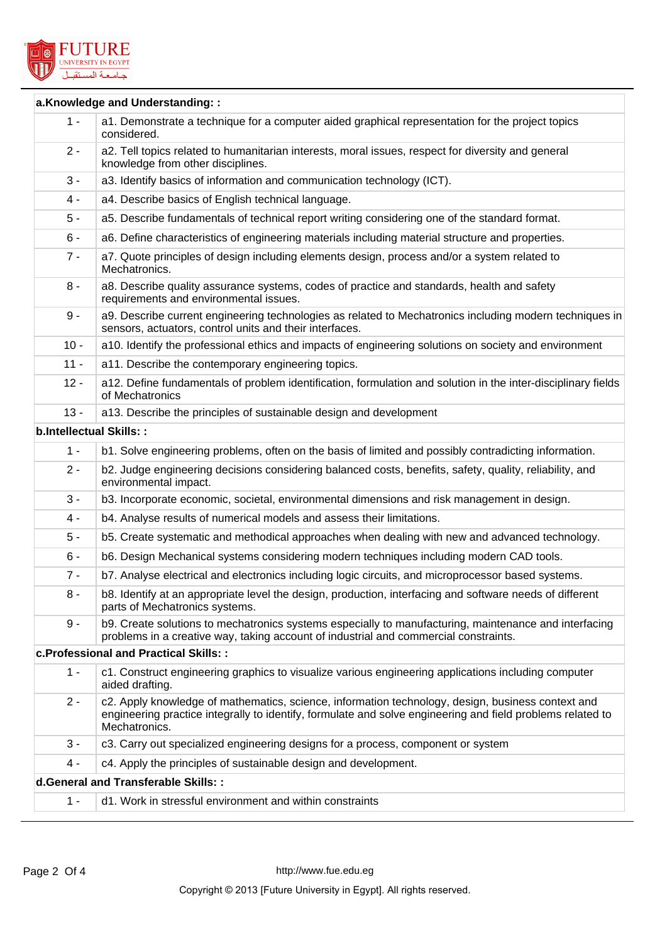

|        | a.Knowledge and Understanding::                                                                                                                                                                                                  |
|--------|----------------------------------------------------------------------------------------------------------------------------------------------------------------------------------------------------------------------------------|
| $1 -$  | a1. Demonstrate a technique for a computer aided graphical representation for the project topics<br>considered.                                                                                                                  |
| $2 -$  | a2. Tell topics related to humanitarian interests, moral issues, respect for diversity and general<br>knowledge from other disciplines.                                                                                          |
| $3 -$  | a3. Identify basics of information and communication technology (ICT).                                                                                                                                                           |
| $4 -$  | a4. Describe basics of English technical language.                                                                                                                                                                               |
| $5 -$  | a5. Describe fundamentals of technical report writing considering one of the standard format.                                                                                                                                    |
| $6 -$  | a6. Define characteristics of engineering materials including material structure and properties.                                                                                                                                 |
| $7 -$  | a7. Quote principles of design including elements design, process and/or a system related to<br>Mechatronics.                                                                                                                    |
| $8 -$  | a8. Describe quality assurance systems, codes of practice and standards, health and safety<br>requirements and environmental issues.                                                                                             |
| $9 -$  | a9. Describe current engineering technologies as related to Mechatronics including modern techniques in<br>sensors, actuators, control units and their interfaces.                                                               |
| $10 -$ | a10. Identify the professional ethics and impacts of engineering solutions on society and environment                                                                                                                            |
| $11 -$ | a11. Describe the contemporary engineering topics.                                                                                                                                                                               |
| $12 -$ | a12. Define fundamentals of problem identification, formulation and solution in the inter-disciplinary fields<br>of Mechatronics                                                                                                 |
| $13 -$ | a13. Describe the principles of sustainable design and development                                                                                                                                                               |
|        | <b>b.Intellectual Skills::</b>                                                                                                                                                                                                   |
| $1 -$  | b1. Solve engineering problems, often on the basis of limited and possibly contradicting information.                                                                                                                            |
| $2 -$  | b2. Judge engineering decisions considering balanced costs, benefits, safety, quality, reliability, and<br>environmental impact.                                                                                                 |
| $3 -$  | b3. Incorporate economic, societal, environmental dimensions and risk management in design.                                                                                                                                      |
| $4 -$  | b4. Analyse results of numerical models and assess their limitations.                                                                                                                                                            |
| 5 -    | b5. Create systematic and methodical approaches when dealing with new and advanced technology.                                                                                                                                   |
| $6 -$  | b6. Design Mechanical systems considering modern techniques including modern CAD tools.                                                                                                                                          |
| $7 -$  | b7. Analyse electrical and electronics including logic circuits, and microprocessor based systems.                                                                                                                               |
| $8 -$  | b8. Identify at an appropriate level the design, production, interfacing and software needs of different<br>parts of Mechatronics systems.                                                                                       |
| $9 -$  | b9. Create solutions to mechatronics systems especially to manufacturing, maintenance and interfacing<br>problems in a creative way, taking account of industrial and commercial constraints.                                    |
|        | c. Professional and Practical Skills: :                                                                                                                                                                                          |
| $1 -$  | c1. Construct engineering graphics to visualize various engineering applications including computer<br>aided drafting.                                                                                                           |
| $2 -$  | c2. Apply knowledge of mathematics, science, information technology, design, business context and<br>engineering practice integrally to identify, formulate and solve engineering and field problems related to<br>Mechatronics. |
| $3 -$  | c3. Carry out specialized engineering designs for a process, component or system                                                                                                                                                 |
| $4 -$  | c4. Apply the principles of sustainable design and development.                                                                                                                                                                  |
|        | d.General and Transferable Skills: :                                                                                                                                                                                             |
| $1 -$  | d1. Work in stressful environment and within constraints                                                                                                                                                                         |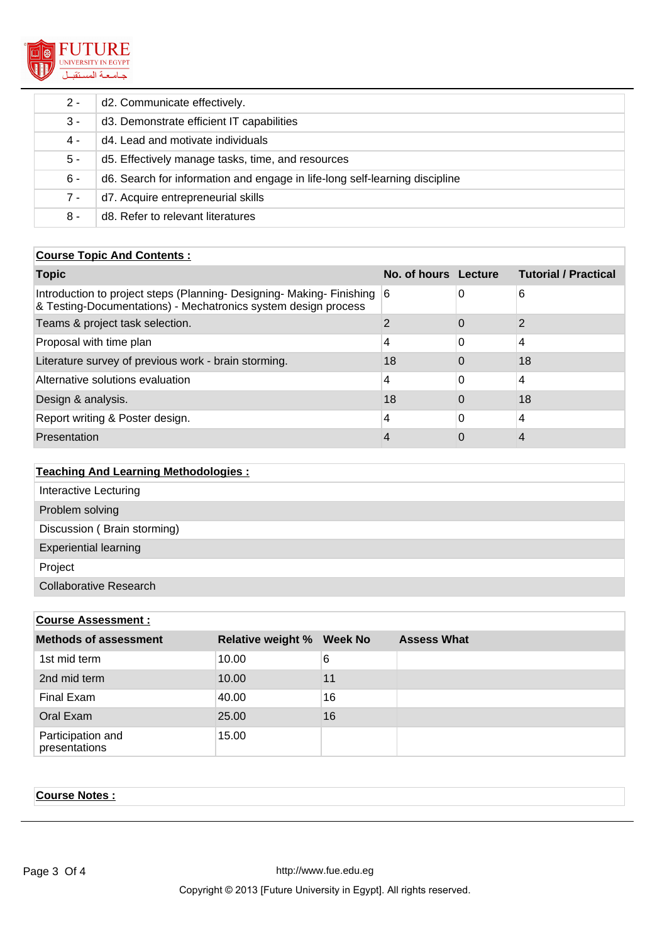

| $2 -$ | d2. Communicate effectively.                                                |
|-------|-----------------------------------------------------------------------------|
| $3 -$ | d3. Demonstrate efficient IT capabilities                                   |
| 4 -   | d4. Lead and motivate individuals                                           |
| $5 -$ | d5. Effectively manage tasks, time, and resources                           |
| $6 -$ | d6. Search for information and engage in life-long self-learning discipline |
| $7 -$ | d7. Acquire entrepreneurial skills                                          |
| 8 -   | d8. Refer to relevant literatures                                           |

#### **Course Topic And Contents :**

| <b>Topic</b>                                                                                                                              | No. of hours Lecture |          | <b>Tutorial / Practical</b> |
|-------------------------------------------------------------------------------------------------------------------------------------------|----------------------|----------|-----------------------------|
| Introduction to project steps (Planning- Designing- Making- Finishing 6<br>& Testing-Documentations) - Mechatronics system design process |                      | 0        | 6                           |
| Teams & project task selection.                                                                                                           |                      | $\Omega$ | 2                           |
| Proposal with time plan                                                                                                                   | 4                    | 0        | $\overline{4}$              |
| Literature survey of previous work - brain storming.                                                                                      | 18                   |          | 18                          |
| Alternative solutions evaluation                                                                                                          | 4                    | 0        | $\overline{4}$              |
| Design & analysis.                                                                                                                        | 18                   |          | 18                          |
| Report writing & Poster design.                                                                                                           | 4                    | 0        | 4                           |
| Presentation                                                                                                                              | 4                    |          | 4                           |

| <b>Teaching And Learning Methodologies:</b> |
|---------------------------------------------|
| Interactive Lecturing                       |
| Problem solving                             |
| Discussion (Brain storming)                 |
| <b>Experiential learning</b>                |
| Project                                     |
| <b>Collaborative Research</b>               |

# **Course Assessment : Methods of assessment Relative weight % Week No Assess What** 1st mid term 10.00 6 2nd mid term 10.00 11 Final Exam 40.00 16 Oral Exam 25.00 16 Participation and presentations 15.00

# **Course Notes :**